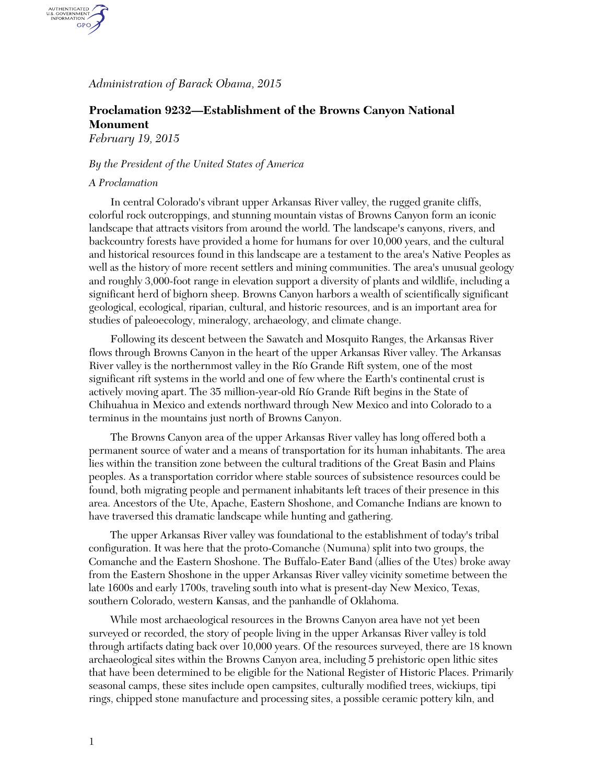*Administration of Barack Obama, 2015*

## **Proclamation 9232—Establishment of the Browns Canyon National Monument**

*February 19, 2015*

## *By the President of the United States of America*

## *A Proclamation*

AUTHENTICATED<br>U.S. GOVERNMENT<br>INFORMATION **GPO** 

> In central Colorado's vibrant upper Arkansas River valley, the rugged granite cliffs, colorful rock outcroppings, and stunning mountain vistas of Browns Canyon form an iconic landscape that attracts visitors from around the world. The landscape's canyons, rivers, and backcountry forests have provided a home for humans for over 10,000 years, and the cultural and historical resources found in this landscape are a testament to the area's Native Peoples as well as the history of more recent settlers and mining communities. The area's unusual geology and roughly 3,000-foot range in elevation support a diversity of plants and wildlife, including a significant herd of bighorn sheep. Browns Canyon harbors a wealth of scientifically significant geological, ecological, riparian, cultural, and historic resources, and is an important area for studies of paleoecology, mineralogy, archaeology, and climate change.

Following its descent between the Sawatch and Mosquito Ranges, the Arkansas River flows through Browns Canyon in the heart of the upper Arkansas River valley. The Arkansas River valley is the northernmost valley in the Río Grande Rift system, one of the most significant rift systems in the world and one of few where the Earth's continental crust is actively moving apart. The 35 million-year-old Río Grande Rift begins in the State of Chihuahua in Mexico and extends northward through New Mexico and into Colorado to a terminus in the mountains just north of Browns Canyon.

The Browns Canyon area of the upper Arkansas River valley has long offered both a permanent source of water and a means of transportation for its human inhabitants. The area lies within the transition zone between the cultural traditions of the Great Basin and Plains peoples. As a transportation corridor where stable sources of subsistence resources could be found, both migrating people and permanent inhabitants left traces of their presence in this area. Ancestors of the Ute, Apache, Eastern Shoshone, and Comanche Indians are known to have traversed this dramatic landscape while hunting and gathering.

The upper Arkansas River valley was foundational to the establishment of today's tribal configuration. It was here that the proto-Comanche (Numuna) split into two groups, the Comanche and the Eastern Shoshone. The Buffalo-Eater Band (allies of the Utes) broke away from the Eastern Shoshone in the upper Arkansas River valley vicinity sometime between the late 1600s and early 1700s, traveling south into what is present-day New Mexico, Texas, southern Colorado, western Kansas, and the panhandle of Oklahoma.

While most archaeological resources in the Browns Canyon area have not yet been surveyed or recorded, the story of people living in the upper Arkansas River valley is told through artifacts dating back over 10,000 years. Of the resources surveyed, there are 18 known archaeological sites within the Browns Canyon area, including 5 prehistoric open lithic sites that have been determined to be eligible for the National Register of Historic Places. Primarily seasonal camps, these sites include open campsites, culturally modified trees, wickiups, tipi rings, chipped stone manufacture and processing sites, a possible ceramic pottery kiln, and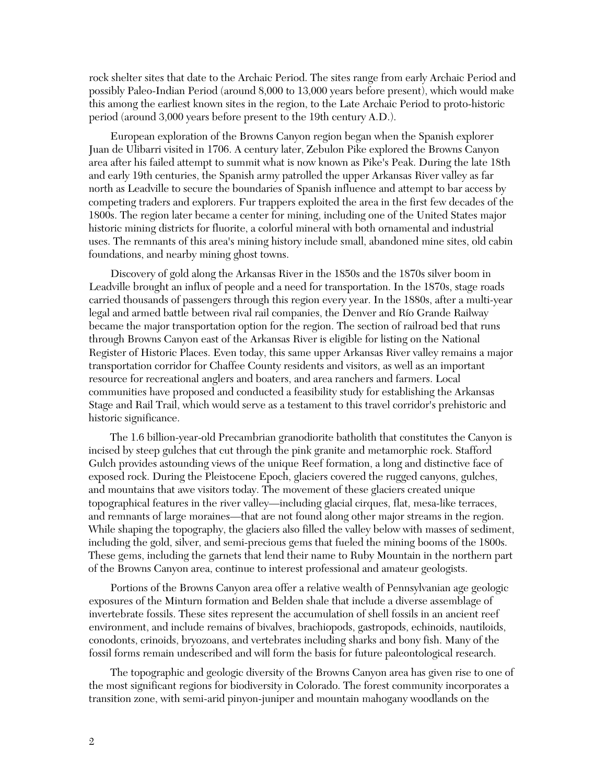rock shelter sites that date to the Archaic Period. The sites range from early Archaic Period and possibly Paleo-Indian Period (around 8,000 to 13,000 years before present), which would make this among the earliest known sites in the region, to the Late Archaic Period to proto-historic period (around 3,000 years before present to the 19th century A.D.).

European exploration of the Browns Canyon region began when the Spanish explorer Juan de Ulibarri visited in 1706. A century later, Zebulon Pike explored the Browns Canyon area after his failed attempt to summit what is now known as Pike's Peak. During the late 18th and early 19th centuries, the Spanish army patrolled the upper Arkansas River valley as far north as Leadville to secure the boundaries of Spanish influence and attempt to bar access by competing traders and explorers. Fur trappers exploited the area in the first few decades of the 1800s. The region later became a center for mining, including one of the United States major historic mining districts for fluorite, a colorful mineral with both ornamental and industrial uses. The remnants of this area's mining history include small, abandoned mine sites, old cabin foundations, and nearby mining ghost towns.

Discovery of gold along the Arkansas River in the 1850s and the 1870s silver boom in Leadville brought an influx of people and a need for transportation. In the 1870s, stage roads carried thousands of passengers through this region every year. In the 1880s, after a multi-year legal and armed battle between rival rail companies, the Denver and Río Grande Railway became the major transportation option for the region. The section of railroad bed that runs through Browns Canyon east of the Arkansas River is eligible for listing on the National Register of Historic Places. Even today, this same upper Arkansas River valley remains a major transportation corridor for Chaffee County residents and visitors, as well as an important resource for recreational anglers and boaters, and area ranchers and farmers. Local communities have proposed and conducted a feasibility study for establishing the Arkansas Stage and Rail Trail, which would serve as a testament to this travel corridor's prehistoric and historic significance.

The 1.6 billion-year-old Precambrian granodiorite batholith that constitutes the Canyon is incised by steep gulches that cut through the pink granite and metamorphic rock. Stafford Gulch provides astounding views of the unique Reef formation, a long and distinctive face of exposed rock. During the Pleistocene Epoch, glaciers covered the rugged canyons, gulches, and mountains that awe visitors today. The movement of these glaciers created unique topographical features in the river valley—including glacial cirques, flat, mesa-like terraces, and remnants of large moraines—that are not found along other major streams in the region. While shaping the topography, the glaciers also filled the valley below with masses of sediment, including the gold, silver, and semi-precious gems that fueled the mining booms of the 1800s. These gems, including the garnets that lend their name to Ruby Mountain in the northern part of the Browns Canyon area, continue to interest professional and amateur geologists.

Portions of the Browns Canyon area offer a relative wealth of Pennsylvanian age geologic exposures of the Minturn formation and Belden shale that include a diverse assemblage of invertebrate fossils. These sites represent the accumulation of shell fossils in an ancient reef environment, and include remains of bivalves, brachiopods, gastropods, echinoids, nautiloids, conodonts, crinoids, bryozoans, and vertebrates including sharks and bony fish. Many of the fossil forms remain undescribed and will form the basis for future paleontological research.

The topographic and geologic diversity of the Browns Canyon area has given rise to one of the most significant regions for biodiversity in Colorado. The forest community incorporates a transition zone, with semi-arid pinyon-juniper and mountain mahogany woodlands on the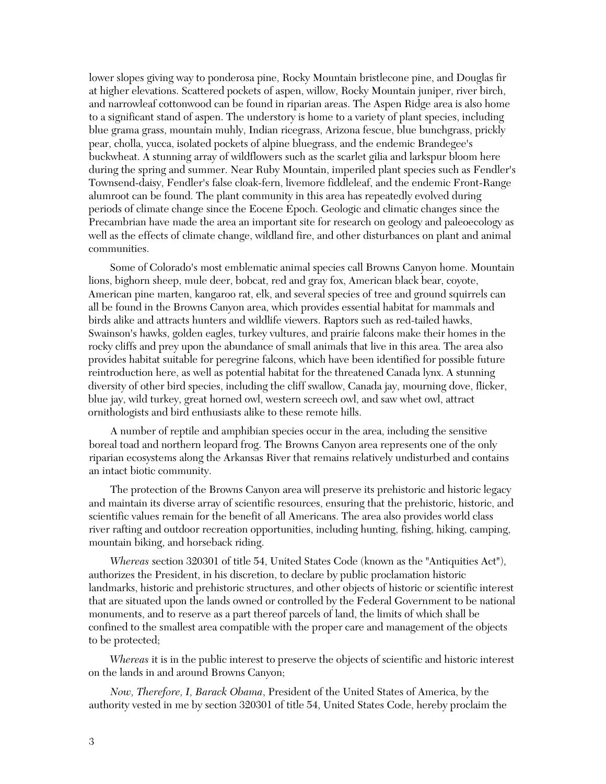lower slopes giving way to ponderosa pine, Rocky Mountain bristlecone pine, and Douglas fir at higher elevations. Scattered pockets of aspen, willow, Rocky Mountain juniper, river birch, and narrowleaf cottonwood can be found in riparian areas. The Aspen Ridge area is also home to a significant stand of aspen. The understory is home to a variety of plant species, including blue grama grass, mountain muhly, Indian ricegrass, Arizona fescue, blue bunchgrass, prickly pear, cholla, yucca, isolated pockets of alpine bluegrass, and the endemic Brandegee's buckwheat. A stunning array of wildflowers such as the scarlet gilia and larkspur bloom here during the spring and summer. Near Ruby Mountain, imperiled plant species such as Fendler's Townsend-daisy, Fendler's false cloak-fern, livemore fiddleleaf, and the endemic Front-Range alumroot can be found. The plant community in this area has repeatedly evolved during periods of climate change since the Eocene Epoch. Geologic and climatic changes since the Precambrian have made the area an important site for research on geology and paleoecology as well as the effects of climate change, wildland fire, and other disturbances on plant and animal communities.

Some of Colorado's most emblematic animal species call Browns Canyon home. Mountain lions, bighorn sheep, mule deer, bobcat, red and gray fox, American black bear, coyote, American pine marten, kangaroo rat, elk, and several species of tree and ground squirrels can all be found in the Browns Canyon area, which provides essential habitat for mammals and birds alike and attracts hunters and wildlife viewers. Raptors such as red-tailed hawks, Swainson's hawks, golden eagles, turkey vultures, and prairie falcons make their homes in the rocky cliffs and prey upon the abundance of small animals that live in this area. The area also provides habitat suitable for peregrine falcons, which have been identified for possible future reintroduction here, as well as potential habitat for the threatened Canada lynx. A stunning diversity of other bird species, including the cliff swallow, Canada jay, mourning dove, flicker, blue jay, wild turkey, great horned owl, western screech owl, and saw whet owl, attract ornithologists and bird enthusiasts alike to these remote hills.

A number of reptile and amphibian species occur in the area, including the sensitive boreal toad and northern leopard frog. The Browns Canyon area represents one of the only riparian ecosystems along the Arkansas River that remains relatively undisturbed and contains an intact biotic community.

The protection of the Browns Canyon area will preserve its prehistoric and historic legacy and maintain its diverse array of scientific resources, ensuring that the prehistoric, historic, and scientific values remain for the benefit of all Americans. The area also provides world class river rafting and outdoor recreation opportunities, including hunting, fishing, hiking, camping, mountain biking, and horseback riding.

*Whereas* section 320301 of title 54, United States Code (known as the "Antiquities Act"), authorizes the President, in his discretion, to declare by public proclamation historic landmarks, historic and prehistoric structures, and other objects of historic or scientific interest that are situated upon the lands owned or controlled by the Federal Government to be national monuments, and to reserve as a part thereof parcels of land, the limits of which shall be confined to the smallest area compatible with the proper care and management of the objects to be protected;

*Whereas* it is in the public interest to preserve the objects of scientific and historic interest on the lands in and around Browns Canyon;

*Now, Therefore, I, Barack Obama*, President of the United States of America, by the authority vested in me by section 320301 of title 54, United States Code, hereby proclaim the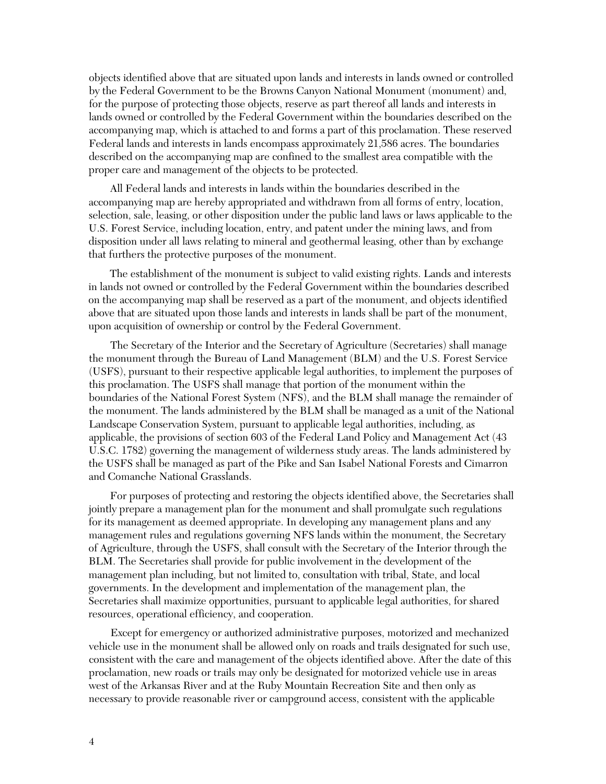objects identified above that are situated upon lands and interests in lands owned or controlled by the Federal Government to be the Browns Canyon National Monument (monument) and, for the purpose of protecting those objects, reserve as part thereof all lands and interests in lands owned or controlled by the Federal Government within the boundaries described on the accompanying map, which is attached to and forms a part of this proclamation. These reserved Federal lands and interests in lands encompass approximately 21,586 acres. The boundaries described on the accompanying map are confined to the smallest area compatible with the proper care and management of the objects to be protected.

All Federal lands and interests in lands within the boundaries described in the accompanying map are hereby appropriated and withdrawn from all forms of entry, location, selection, sale, leasing, or other disposition under the public land laws or laws applicable to the U.S. Forest Service, including location, entry, and patent under the mining laws, and from disposition under all laws relating to mineral and geothermal leasing, other than by exchange that furthers the protective purposes of the monument.

The establishment of the monument is subject to valid existing rights. Lands and interests in lands not owned or controlled by the Federal Government within the boundaries described on the accompanying map shall be reserved as a part of the monument, and objects identified above that are situated upon those lands and interests in lands shall be part of the monument, upon acquisition of ownership or control by the Federal Government.

The Secretary of the Interior and the Secretary of Agriculture (Secretaries) shall manage the monument through the Bureau of Land Management (BLM) and the U.S. Forest Service (USFS), pursuant to their respective applicable legal authorities, to implement the purposes of this proclamation. The USFS shall manage that portion of the monument within the boundaries of the National Forest System (NFS), and the BLM shall manage the remainder of the monument. The lands administered by the BLM shall be managed as a unit of the National Landscape Conservation System, pursuant to applicable legal authorities, including, as applicable, the provisions of section 603 of the Federal Land Policy and Management Act (43 U.S.C. 1782) governing the management of wilderness study areas. The lands administered by the USFS shall be managed as part of the Pike and San Isabel National Forests and Cimarron and Comanche National Grasslands.

For purposes of protecting and restoring the objects identified above, the Secretaries shall jointly prepare a management plan for the monument and shall promulgate such regulations for its management as deemed appropriate. In developing any management plans and any management rules and regulations governing NFS lands within the monument, the Secretary of Agriculture, through the USFS, shall consult with the Secretary of the Interior through the BLM. The Secretaries shall provide for public involvement in the development of the management plan including, but not limited to, consultation with tribal, State, and local governments. In the development and implementation of the management plan, the Secretaries shall maximize opportunities, pursuant to applicable legal authorities, for shared resources, operational efficiency, and cooperation.

Except for emergency or authorized administrative purposes, motorized and mechanized vehicle use in the monument shall be allowed only on roads and trails designated for such use, consistent with the care and management of the objects identified above. After the date of this proclamation, new roads or trails may only be designated for motorized vehicle use in areas west of the Arkansas River and at the Ruby Mountain Recreation Site and then only as necessary to provide reasonable river or campground access, consistent with the applicable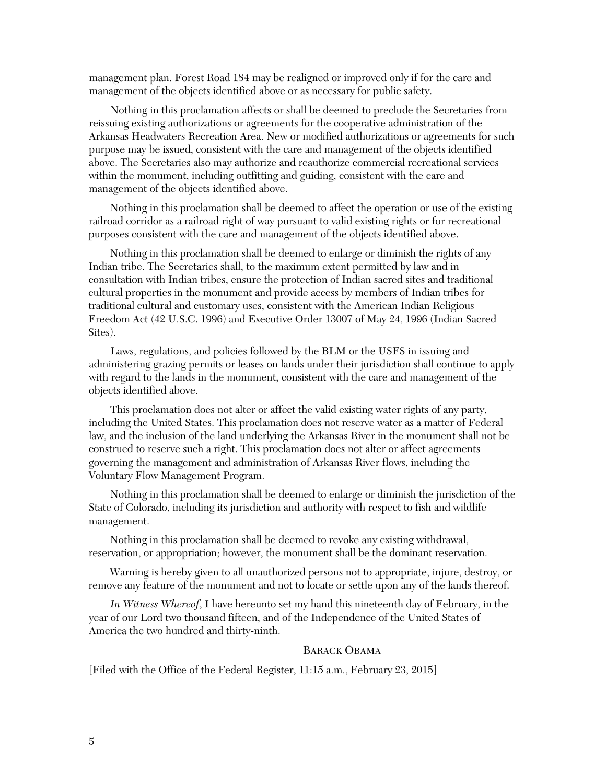management plan. Forest Road 184 may be realigned or improved only if for the care and management of the objects identified above or as necessary for public safety.

Nothing in this proclamation affects or shall be deemed to preclude the Secretaries from reissuing existing authorizations or agreements for the cooperative administration of the Arkansas Headwaters Recreation Area. New or modified authorizations or agreements for such purpose may be issued, consistent with the care and management of the objects identified above. The Secretaries also may authorize and reauthorize commercial recreational services within the monument, including outfitting and guiding, consistent with the care and management of the objects identified above.

Nothing in this proclamation shall be deemed to affect the operation or use of the existing railroad corridor as a railroad right of way pursuant to valid existing rights or for recreational purposes consistent with the care and management of the objects identified above.

Nothing in this proclamation shall be deemed to enlarge or diminish the rights of any Indian tribe. The Secretaries shall, to the maximum extent permitted by law and in consultation with Indian tribes, ensure the protection of Indian sacred sites and traditional cultural properties in the monument and provide access by members of Indian tribes for traditional cultural and customary uses, consistent with the American Indian Religious Freedom Act (42 U.S.C. 1996) and Executive Order 13007 of May 24, 1996 (Indian Sacred Sites).

Laws, regulations, and policies followed by the BLM or the USFS in issuing and administering grazing permits or leases on lands under their jurisdiction shall continue to apply with regard to the lands in the monument, consistent with the care and management of the objects identified above.

This proclamation does not alter or affect the valid existing water rights of any party, including the United States. This proclamation does not reserve water as a matter of Federal law, and the inclusion of the land underlying the Arkansas River in the monument shall not be construed to reserve such a right. This proclamation does not alter or affect agreements governing the management and administration of Arkansas River flows, including the Voluntary Flow Management Program.

Nothing in this proclamation shall be deemed to enlarge or diminish the jurisdiction of the State of Colorado, including its jurisdiction and authority with respect to fish and wildlife management.

Nothing in this proclamation shall be deemed to revoke any existing withdrawal, reservation, or appropriation; however, the monument shall be the dominant reservation.

Warning is hereby given to all unauthorized persons not to appropriate, injure, destroy, or remove any feature of the monument and not to locate or settle upon any of the lands thereof.

*In Witness Whereof*, I have hereunto set my hand this nineteenth day of February, in the year of our Lord two thousand fifteen, and of the Independence of the United States of America the two hundred and thirty-ninth.

## BARACK OBAMA

[Filed with the Office of the Federal Register, 11:15 a.m., February 23, 2015]